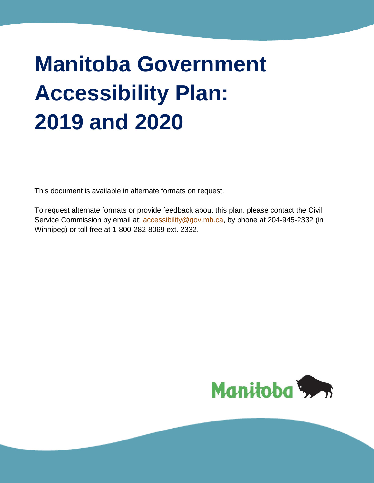# **Manitoba Government Accessibility Plan: 2019 and 2020**

This document is available in alternate formats on request.

To request alternate formats or provide feedback about this plan, please contact the Civil Service Commission by email at: **accessibility@gov.mb.ca**, by phone at 204-945-2332 (in Winnipeg) or toll free at 1-800-282-8069 ext. 2332.

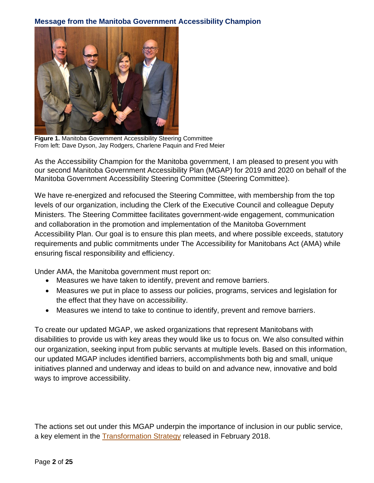#### **Message from the Manitoba Government Accessibility Champion**



**Figure 1.** Manitoba Government Accessibility Steering Committee From left: Dave Dyson, Jay Rodgers, Charlene Paquin and Fred Meier

As the Accessibility Champion for the Manitoba government, I am pleased to present you with our second Manitoba Government Accessibility Plan (MGAP) for 2019 and 2020 on behalf of the Manitoba Government Accessibility Steering Committee (Steering Committee).

We have re-energized and refocused the Steering Committee, with membership from the top levels of our organization, including the Clerk of the Executive Council and colleague Deputy Ministers. The Steering Committee facilitates government-wide engagement, communication and collaboration in the promotion and implementation of the Manitoba Government Accessibility Plan. Our goal is to ensure this plan meets, and where possible exceeds, statutory requirements and public commitments under The Accessibility for Manitobans Act (AMA) while ensuring fiscal responsibility and efficiency.

Under AMA, the Manitoba government must report on:

- Measures we have taken to identify, prevent and remove barriers.
- Measures we put in place to assess our policies, programs, services and legislation for the effect that they have on accessibility.
- Measures we intend to take to continue to identify, prevent and remove barriers.

To create our updated MGAP, we asked organizations that represent Manitobans with disabilities to provide us with key areas they would like us to focus on. We also consulted within our organization, seeking input from public servants at multiple levels. Based on this information, our updated MGAP includes identified barriers, accomplishments both big and small, unique initiatives planned and underway and ideas to build on and advance new, innovative and bold ways to improve accessibility.

The actions set out under this MGAP underpin the importance of inclusion in our public service, a key element in the [Transformation Strategy](https://www.gov.mb.ca/asset_library/en/proactive/transformation_2018.pdf) released in February 2018.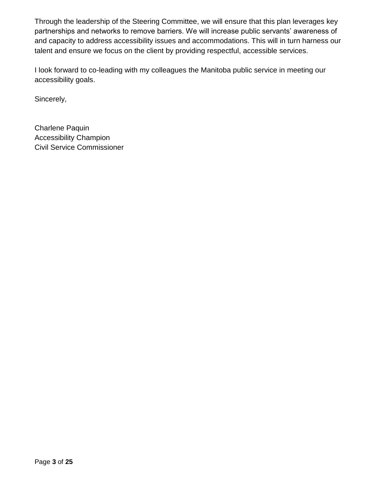Through the leadership of the Steering Committee, we will ensure that this plan leverages key partnerships and networks to remove barriers. We will increase public servants' awareness of and capacity to address accessibility issues and accommodations. This will in turn harness our talent and ensure we focus on the client by providing respectful, accessible services.

I look forward to co-leading with my colleagues the Manitoba public service in meeting our accessibility goals.

Sincerely,

Charlene Paquin Accessibility Champion Civil Service Commissioner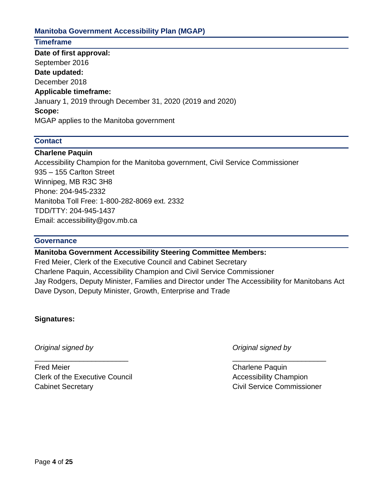#### **Manitoba Government Accessibility Plan (MGAP)**

## **Timeframe**

**Date of first approval:** September 2016 **Date updated:** December 2018 **Applicable timeframe:**  January 1, 2019 through December 31, 2020 (2019 and 2020) **Scope:**  MGAP applies to the Manitoba government

#### **Contact**

#### **Charlene Paquin**

Accessibility Champion for the Manitoba government, Civil Service Commissioner 935 – 155 Carlton Street Winnipeg, MB R3C 3H8 Phone: 204-945-2332 Manitoba Toll Free: 1-800-282-8069 ext. 2332 TDD/TTY: 204-945-1437 Email: accessibility@gov.mb.ca

#### **Governance**

**Manitoba Government Accessibility Steering Committee Members:** 

Fred Meier, Clerk of the Executive Council and Cabinet Secretary Charlene Paquin, Accessibility Champion and Civil Service Commissioner Jay Rodgers, Deputy Minister, Families and Director under The Accessibility for Manitobans Act Dave Dyson, Deputy Minister, Growth, Enterprise and Trade

 $\overline{\phantom{a}}$  , and the contract of the contract of the contract of the contract of the contract of the contract of the contract of the contract of the contract of the contract of the contract of the contract of the contrac

#### **Signatures:**

*Original signed by Original signed by*

Fred Meier Charlene Paquin Clerk of the Executive Council **Accessibility Champion** Cabinet Secretary Civil Service Commissioner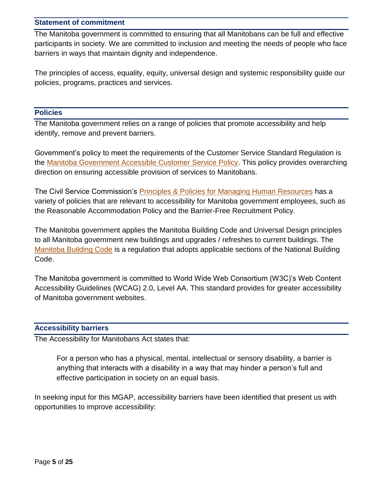#### **Statement of commitment**

The Manitoba government is committed to ensuring that all Manitobans can be full and effective participants in society. We are committed to inclusion and meeting the needs of people who face barriers in ways that maintain dignity and independence.

The principles of access, equality, equity, universal design and systemic responsibility guide our policies, programs, practices and services.

#### **Policies**

The Manitoba government relies on a range of policies that promote accessibility and help identify, remove and prevent barriers.

Government's policy to meet the requirements of the Customer Service Standard Regulation is the [Manitoba Government Accessible Customer Service Policy.](https://www.gov.mb.ca/asset_library/en/accessibility/accessible_customer_service_policy.pdf) This policy provides overarching direction on ensuring accessible provision of services to Manitobans.

The Civil Service Commission's [Principles & Policies for Managing Human Resources](https://www.gov.mb.ca/csc/policyman/index.html) has a variety of policies that are relevant to accessibility for Manitoba government employees, such as the Reasonable Accommodation Policy and the Barrier-Free Recruitment Policy.

The Manitoba government applies the Manitoba Building Code and Universal Design principles to all Manitoba government new buildings and upgrades / refreshes to current buildings. The [Manitoba Building Code](https://web2.gov.mb.ca/laws/regs/current/_pdf-regs.php?reg=31/2011) is a regulation that adopts applicable sections of the National Building Code.

The Manitoba government is committed to World Wide Web Consortium (W3C)'s Web Content Accessibility Guidelines (WCAG) 2.0, Level AA. This standard provides for greater accessibility of Manitoba government websites.

#### **Accessibility barriers**

The Accessibility for Manitobans Act states that:

For a person who has a physical, mental, intellectual or sensory disability, a barrier is anything that interacts with a disability in a way that may hinder a person's full and effective participation in society on an equal basis.

In seeking input for this MGAP, accessibility barriers have been identified that present us with opportunities to improve accessibility: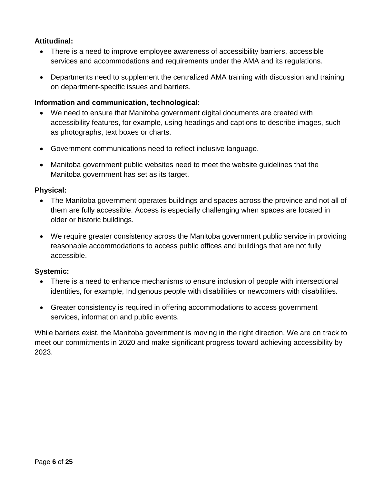## **Attitudinal:**

- There is a need to improve employee awareness of accessibility barriers, accessible services and accommodations and requirements under the AMA and its regulations.
- Departments need to supplement the centralized AMA training with discussion and training on department-specific issues and barriers.

#### **Information and communication, technological:**

- We need to ensure that Manitoba government digital documents are created with accessibility features, for example, using headings and captions to describe images, such as photographs, text boxes or charts.
- Government communications need to reflect inclusive language.
- Manitoba government public websites need to meet the website guidelines that the Manitoba government has set as its target.

#### **Physical:**

- The Manitoba government operates buildings and spaces across the province and not all of them are fully accessible. Access is especially challenging when spaces are located in older or historic buildings.
- We require greater consistency across the Manitoba government public service in providing reasonable accommodations to access public offices and buildings that are not fully accessible.

#### **Systemic:**

- There is a need to enhance mechanisms to ensure inclusion of people with intersectional identities, for example, Indigenous people with disabilities or newcomers with disabilities.
- Greater consistency is required in offering accommodations to access government services, information and public events.

While barriers exist, the Manitoba government is moving in the right direction. We are on track to meet our commitments in 2020 and make significant progress toward achieving accessibility by 2023.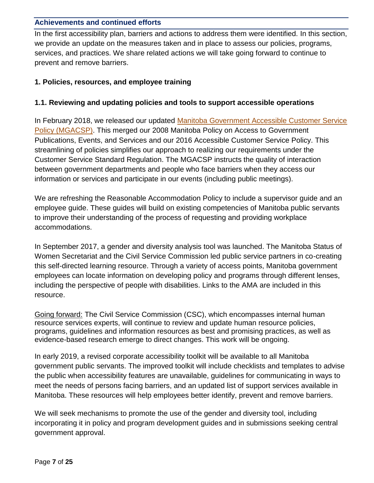#### **Achievements and continued efforts**

In the first accessibility plan, barriers and actions to address them were identified. In this section, we provide an update on the measures taken and in place to assess our policies, programs, services, and practices. We share related actions we will take going forward to continue to prevent and remove barriers.

## **1. Policies, resources, and employee training**

#### **1.1. Reviewing and updating policies and tools to support accessible operations**

In February 2018, we released our updated [Manitoba Government Accessible Customer Service](https://www.gov.mb.ca/asset_library/en/accessibility/accessible_customer_service_policy.pdf)  [Policy](https://www.gov.mb.ca/asset_library/en/accessibility/accessible_customer_service_policy.pdf) (MGACSP). This merged our 2008 Manitoba Policy on Access to Government Publications, Events, and Services and our 2016 Accessible Customer Service Policy. This streamlining of policies simplifies our approach to realizing our requirements under the Customer Service Standard Regulation. The MGACSP instructs the quality of interaction between government departments and people who face barriers when they access our information or services and participate in our events (including public meetings).

We are refreshing the Reasonable Accommodation Policy to include a supervisor guide and an employee guide. These guides will build on existing competencies of Manitoba public servants to improve their understanding of the process of requesting and providing workplace accommodations.

In September 2017, a gender and diversity analysis tool was launched. The Manitoba Status of Women Secretariat and the Civil Service Commission led public service partners in co-creating this self-directed learning resource. Through a variety of access points, Manitoba government employees can locate information on developing policy and programs through different lenses, including the perspective of people with disabilities. Links to the AMA are included in this resource.

Going forward: The Civil Service Commission (CSC), which encompasses internal human resource services experts, will continue to review and update human resource policies, programs, guidelines and information resources as best and promising practices, as well as evidence-based research emerge to direct changes. This work will be ongoing.

In early 2019, a revised corporate accessibility toolkit will be available to all Manitoba government public servants. The improved toolkit will include checklists and templates to advise the public when accessibility features are unavailable, guidelines for communicating in ways to meet the needs of persons facing barriers, and an updated list of support services available in Manitoba. These resources will help employees better identify, prevent and remove barriers.

We will seek mechanisms to promote the use of the gender and diversity tool, including incorporating it in policy and program development guides and in submissions seeking central government approval.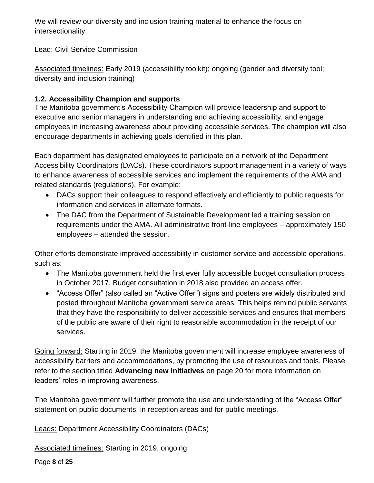We will review our diversity and inclusion training material to enhance the focus on intersectionality.

Lead: Civil Service Commission

Associated timelines: Early 2019 (accessibility toolkit); ongoing (gender and diversity tool; diversity and inclusion training)

# **1.2. Accessibility Champion and supports**

The Manitoba government's Accessibility Champion will provide leadership and support to executive and senior managers in understanding and achieving accessibility, and engage employees in increasing awareness about providing accessible services. The champion will also encourage departments in achieving goals identified in this plan.

Each department has designated employees to participate on a network of the Department Accessibility Coordinators (DACs). These coordinators support management in a variety of ways to enhance awareness of accessible services and implement the requirements of the AMA and related standards (regulations). For example:

- DACs support their colleagues to respond effectively and efficiently to public requests for information and services in alternate formats.
- The DAC from the Department of Sustainable Development led a training session on requirements under the AMA. All administrative front-line employees – approximately 150 employees – attended the session.

Other efforts demonstrate improved accessibility in customer service and accessible operations, such as:

- The Manitoba government held the first ever fully accessible budget consultation process in October 2017. Budget consultation in 2018 also provided an access offer.
- "Access Offer" (also called an "Active Offer") signs and posters are widely distributed and posted throughout Manitoba government service areas. This helps remind public servants that they have the responsibility to deliver accessible services and ensures that members of the public are aware of their right to reasonable accommodation in the receipt of our services.

Going forward: Starting in 2019, the Manitoba government will increase employee awareness of accessibility barriers and accommodations, by promoting the use of resources and tools. Please refer to the section titled **Advancing new initiatives** on page 20 for more information on leaders' roles in improving awareness.

The Manitoba government will further promote the use and understanding of the "Access Offer" statement on public documents, in reception areas and for public meetings.

Leads: Department Accessibility Coordinators (DACs)

Associated timelines: Starting in 2019, ongoing

Page **8** of **25**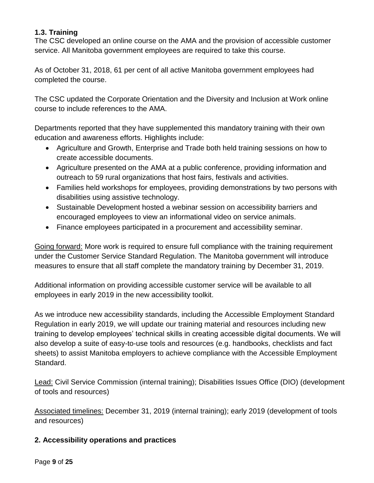## **1.3. Training**

The CSC developed an online course on the AMA and the provision of accessible customer service. All Manitoba government employees are required to take this course.

As of October 31, 2018, 61 per cent of all active Manitoba government employees had completed the course.

The CSC updated the Corporate Orientation and the Diversity and Inclusion at Work online course to include references to the AMA.

Departments reported that they have supplemented this mandatory training with their own education and awareness efforts. Highlights include:

- Agriculture and Growth, Enterprise and Trade both held training sessions on how to create accessible documents.
- Agriculture presented on the AMA at a public conference, providing information and outreach to 59 rural organizations that host fairs, festivals and activities.
- Families held workshops for employees, providing demonstrations by two persons with disabilities using assistive technology.
- Sustainable Development hosted a webinar session on accessibility barriers and encouraged employees to view an informational video on service animals.
- Finance employees participated in a procurement and accessibility seminar.

Going forward: More work is required to ensure full compliance with the training requirement under the Customer Service Standard Regulation. The Manitoba government will introduce measures to ensure that all staff complete the mandatory training by December 31, 2019.

Additional information on providing accessible customer service will be available to all employees in early 2019 in the new accessibility toolkit.

As we introduce new accessibility standards, including the Accessible Employment Standard Regulation in early 2019, we will update our training material and resources including new training to develop employees' technical skills in creating accessible digital documents. We will also develop a suite of easy-to-use tools and resources (e.g. handbooks, checklists and fact sheets) to assist Manitoba employers to achieve compliance with the Accessible Employment Standard.

Lead: Civil Service Commission (internal training); Disabilities Issues Office (DIO) (development of tools and resources)

Associated timelines: December 31, 2019 (internal training); early 2019 (development of tools and resources)

# **2. Accessibility operations and practices**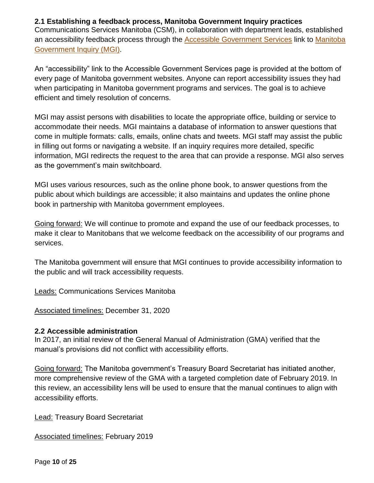#### **2.1 Establishing a feedback process, Manitoba Government Inquiry practices**

Communications Services Manitoba (CSM), in collaboration with department leads, established an accessibility feedback process through the **Accessible Government Services** link to Manitoba [Government Inquiry](https://www.gov.mb.ca/contact/) (MGI).

An "accessibility" link to the Accessible Government Services page is provided at the bottom of every page of Manitoba government websites. Anyone can report accessibility issues they had when participating in Manitoba government programs and services. The goal is to achieve efficient and timely resolution of concerns.

MGI may assist persons with disabilities to locate the appropriate office, building or service to accommodate their needs. MGI maintains a database of information to answer questions that come in multiple formats: calls, emails, online chats and tweets. MGI staff may assist the public in filling out forms or navigating a website. If an inquiry requires more detailed, specific information, MGI redirects the request to the area that can provide a response. MGI also serves as the government's main switchboard.

MGI uses various resources, such as the online phone book, to answer questions from the public about which buildings are accessible; it also maintains and updates the online phone book in partnership with Manitoba government employees.

Going forward: We will continue to promote and expand the use of our feedback processes, to make it clear to Manitobans that we welcome feedback on the accessibility of our programs and services.

The Manitoba government will ensure that MGI continues to provide accessibility information to the public and will track accessibility requests.

Leads: Communications Services Manitoba

Associated timelines: December 31, 2020

#### **2.2 Accessible administration**

In 2017, an initial review of the General Manual of Administration (GMA) verified that the manual's provisions did not conflict with accessibility efforts.

Going forward: The Manitoba government's Treasury Board Secretariat has initiated another, more comprehensive review of the GMA with a targeted completion date of February 2019. In this review, an accessibility lens will be used to ensure that the manual continues to align with accessibility efforts.

Lead: Treasury Board Secretariat

Associated timelines: February 2019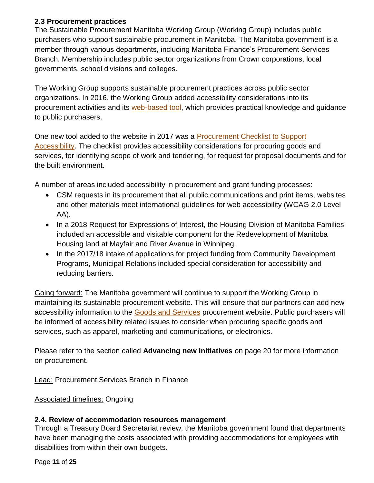## **2.3 Procurement practices**

The Sustainable Procurement Manitoba Working Group (Working Group) includes public purchasers who support sustainable procurement in Manitoba. The Manitoba government is a member through various departments, including Manitoba Finance's Procurement Services Branch. Membership includes public sector organizations from Crown corporations, local governments, school divisions and colleges.

The Working Group supports sustainable procurement practices across public sector organizations. In 2016, the Working Group added accessibility considerations into its procurement activities and its [web-based tool,](http://manitobasustainableprocurement.com/) which provides practical knowledge and guidance to public purchasers.

One new tool added to the website in 2017 was a [Procurement Checklist to Support](http://www.manitobasustainableprocurement.com/node/383)  [Accessibility.](http://www.manitobasustainableprocurement.com/node/383) The checklist provides accessibility considerations for procuring goods and services, for identifying scope of work and tendering, for request for proposal documents and for the built environment.

A number of areas included accessibility in procurement and grant funding processes:

- CSM requests in its procurement that all public communications and print items, websites and other materials meet international guidelines for web accessibility (WCAG 2.0 Level AA).
- In a 2018 Request for Expressions of Interest, the Housing Division of Manitoba Families included an accessible and visitable component for the Redevelopment of Manitoba Housing land at Mayfair and River Avenue in Winnipeg.
- In the 2017/18 intake of applications for project funding from Community Development Programs, Municipal Relations included special consideration for accessibility and reducing barriers.

Going forward: The Manitoba government will continue to support the Working Group in maintaining its sustainable procurement website. This will ensure that our partners can add new accessibility information to the [Goods and Services](http://www.manitobasustainableprocurement.com/node/20) procurement website. Public purchasers will be informed of accessibility related issues to consider when procuring specific goods and services, such as apparel, marketing and communications, or electronics.

Please refer to the section called **Advancing new initiatives** on page 20 for more information on procurement.

Lead: Procurement Services Branch in Finance

Associated timelines: Ongoing

# **2.4. Review of accommodation resources management**

Through a Treasury Board Secretariat review, the Manitoba government found that departments have been managing the costs associated with providing accommodations for employees with disabilities from within their own budgets.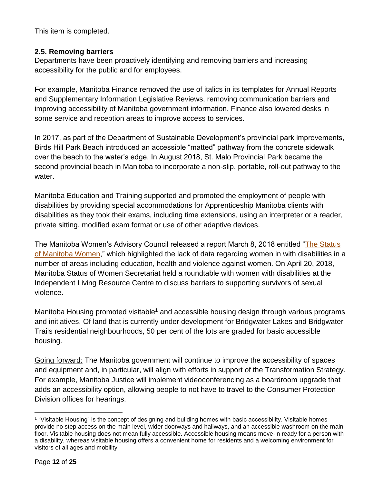This item is completed.

## **2.5. Removing barriers**

Departments have been proactively identifying and removing barriers and increasing accessibility for the public and for employees.

For example, Manitoba Finance removed the use of italics in its templates for Annual Reports and Supplementary Information Legislative Reviews, removing communication barriers and improving accessibility of Manitoba government information. Finance also lowered desks in some service and reception areas to improve access to services.

In 2017, as part of the Department of Sustainable Development's provincial park improvements, Birds Hill Park Beach introduced an accessible "matted" pathway from the concrete sidewalk over the beach to the water's edge. In August 2018, St. Malo Provincial Park became the second provincial beach in Manitoba to incorporate a non-slip, portable, roll-out pathway to the water.

Manitoba Education and Training supported and promoted the employment of people with disabilities by providing special accommodations for Apprenticeship Manitoba clients with disabilities as they took their exams, including time extensions, using an interpreter or a reader, private sitting, modified exam format or use of other adaptive devices.

The Manitoba Women's Advisory Council released a report March 8, 2018 entitled ["The Status](https://www.gov.mb.ca/msw/mwac/index.html)  [of Manitoba Women,](https://www.gov.mb.ca/msw/mwac/index.html)" which highlighted the lack of data regarding women in with disabilities in a number of areas including education, health and violence against women. On April 20, 2018, Manitoba Status of Women Secretariat held a roundtable with women with disabilities at the Independent Living Resource Centre to discuss barriers to supporting survivors of sexual violence.

Manitoba Housing promoted visitable<sup>1</sup> and accessible housing design through various programs and initiatives. Of land that is currently under development for Bridgwater Lakes and Bridgwater Trails residential neighbourhoods, 50 per cent of the lots are graded for basic accessible housing.

Going forward: The Manitoba government will continue to improve the accessibility of spaces and equipment and, in particular, will align with efforts in support of the Transformation Strategy. For example, Manitoba Justice will implement videoconferencing as a boardroom upgrade that adds an accessibility option, allowing people to not have to travel to the Consumer Protection Division offices for hearings.

 $\overline{a}$ 

<sup>1</sup> "Visitable Housing" is the concept of designing and building homes with basic accessibility. Visitable homes provide no step access on the main level, wider doorways and hallways, and an accessible washroom on the main floor. Visitable housing does not mean fully accessible. Accessible housing means move-in ready for a person with a disability, whereas visitable housing offers a convenient home for residents and a welcoming environment for visitors of all ages and mobility.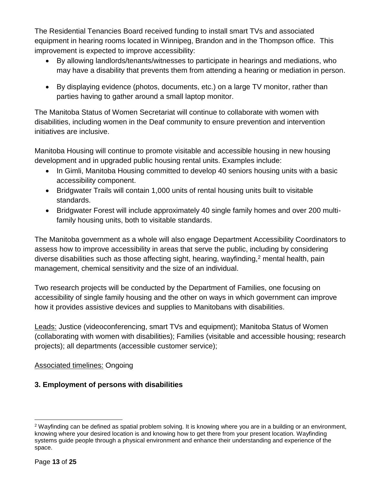The Residential Tenancies Board received funding to install smart TVs and associated equipment in hearing rooms located in Winnipeg, Brandon and in the Thompson office. This improvement is expected to improve accessibility:

- By allowing landlords/tenants/witnesses to participate in hearings and mediations, who may have a disability that prevents them from attending a hearing or mediation in person.
- By displaying evidence (photos, documents, etc.) on a large TV monitor, rather than parties having to gather around a small laptop monitor.

The Manitoba Status of Women Secretariat will continue to collaborate with women with disabilities, including women in the Deaf community to ensure prevention and intervention initiatives are inclusive.

Manitoba Housing will continue to promote visitable and accessible housing in new housing development and in upgraded public housing rental units. Examples include:

- In Gimli, Manitoba Housing committed to develop 40 seniors housing units with a basic accessibility component.
- Bridgwater Trails will contain 1,000 units of rental housing units built to visitable standards.
- Bridgwater Forest will include approximately 40 single family homes and over 200 multifamily housing units, both to visitable standards.

The Manitoba government as a whole will also engage Department Accessibility Coordinators to assess how to improve accessibility in areas that serve the public, including by considering diverse disabilities such as those affecting sight, hearing, wayfinding, $2$  mental health, pain management, chemical sensitivity and the size of an individual.

Two research projects will be conducted by the Department of Families, one focusing on accessibility of single family housing and the other on ways in which government can improve how it provides assistive devices and supplies to Manitobans with disabilities.

Leads: Justice (videoconferencing, smart TVs and equipment); Manitoba Status of Women (collaborating with women with disabilities); Families (visitable and accessible housing; research projects); all departments (accessible customer service);

# Associated timelines: Ongoing

# **3. Employment of persons with disabilities**

 $\overline{a}$ <sup>2</sup> Wayfinding can be defined as spatial problem solving. It is knowing where you are in a building or an environment, knowing where your desired location is and knowing how to get there from your present location. Wayfinding systems guide people through a physical environment and enhance their understanding and experience of the space.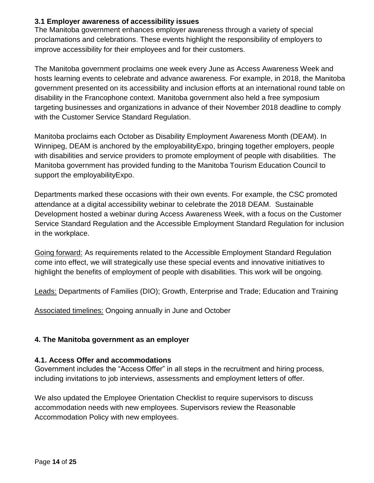#### **3.1 Employer awareness of accessibility issues**

The Manitoba government enhances employer awareness through a variety of special proclamations and celebrations. These events highlight the responsibility of employers to improve accessibility for their employees and for their customers.

The Manitoba government proclaims one week every June as Access Awareness Week and hosts learning events to celebrate and advance awareness. For example, in 2018, the Manitoba government presented on its accessibility and inclusion efforts at an international round table on disability in the Francophone context. Manitoba government also held a free symposium targeting businesses and organizations in advance of their November 2018 deadline to comply with the Customer Service Standard Regulation.

Manitoba proclaims each October as Disability Employment Awareness Month (DEAM). In Winnipeg, DEAM is anchored by the employabilityExpo, bringing together employers, people with disabilities and service providers to promote employment of people with disabilities. The Manitoba government has provided funding to the Manitoba Tourism Education Council to support the employabilityExpo.

Departments marked these occasions with their own events. For example, the CSC promoted attendance at a digital accessibility webinar to celebrate the 2018 DEAM. Sustainable Development hosted a webinar during Access Awareness Week, with a focus on the Customer Service Standard Regulation and the Accessible Employment Standard Regulation for inclusion in the workplace.

Going forward: As requirements related to the Accessible Employment Standard Regulation come into effect, we will strategically use these special events and innovative initiatives to highlight the benefits of employment of people with disabilities. This work will be ongoing.

Leads: Departments of Families (DIO); Growth, Enterprise and Trade; Education and Training

Associated timelines: Ongoing annually in June and October

## **4. The Manitoba government as an employer**

#### **4.1. Access Offer and accommodations**

Government includes the "Access Offer" in all steps in the recruitment and hiring process, including invitations to job interviews, assessments and employment letters of offer.

We also updated the Employee Orientation Checklist to require supervisors to discuss accommodation needs with new employees. Supervisors review the Reasonable Accommodation Policy with new employees.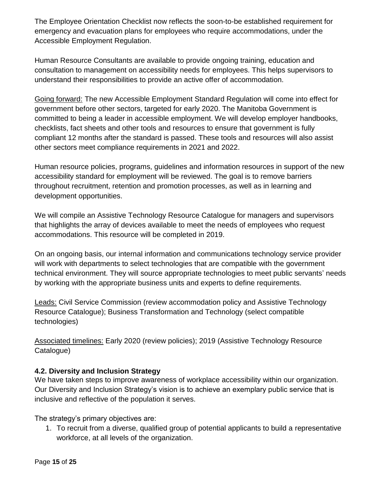The Employee Orientation Checklist now reflects the soon-to-be established requirement for emergency and evacuation plans for employees who require accommodations, under the Accessible Employment Regulation.

Human Resource Consultants are available to provide ongoing training, education and consultation to management on accessibility needs for employees. This helps supervisors to understand their responsibilities to provide an active offer of accommodation.

Going forward: The new Accessible Employment Standard Regulation will come into effect for government before other sectors, targeted for early 2020. The Manitoba Government is committed to being a leader in accessible employment. We will develop employer handbooks, checklists, fact sheets and other tools and resources to ensure that government is fully compliant 12 months after the standard is passed. These tools and resources will also assist other sectors meet compliance requirements in 2021 and 2022.

Human resource policies, programs, guidelines and information resources in support of the new accessibility standard for employment will be reviewed. The goal is to remove barriers throughout recruitment, retention and promotion processes, as well as in learning and development opportunities.

We will compile an Assistive Technology Resource Catalogue for managers and supervisors that highlights the array of devices available to meet the needs of employees who request accommodations. This resource will be completed in 2019.

On an ongoing basis, our internal information and communications technology service provider will work with departments to select technologies that are compatible with the government technical environment. They will source appropriate technologies to meet public servants' needs by working with the appropriate business units and experts to define requirements.

Leads: Civil Service Commission (review accommodation policy and Assistive Technology Resource Catalogue); Business Transformation and Technology (select compatible technologies)

Associated timelines: Early 2020 (review policies); 2019 (Assistive Technology Resource Catalogue)

## **4.2. Diversity and Inclusion Strategy**

We have taken steps to improve awareness of workplace accessibility within our organization. Our Diversity and Inclusion Strategy's vision is to achieve an exemplary public service that is inclusive and reflective of the population it serves.

The strategy's primary objectives are:

1. To recruit from a diverse, qualified group of potential applicants to build a representative workforce, at all levels of the organization.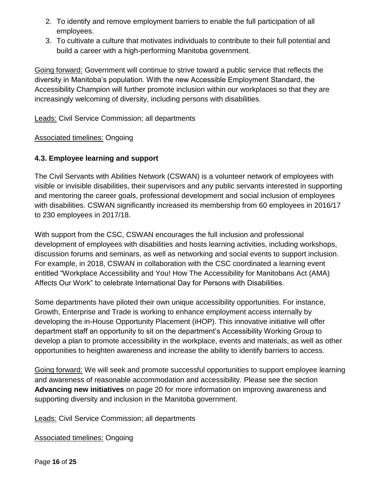- 2. To identify and remove employment barriers to enable the full participation of all employees.
- 3. To cultivate a culture that motivates individuals to contribute to their full potential and build a career with a high-performing Manitoba government.

Going forward: Government will continue to strive toward a public service that reflects the diversity in Manitoba's population. With the new Accessible Employment Standard, the Accessibility Champion will further promote inclusion within our workplaces so that they are increasingly welcoming of diversity, including persons with disabilities.

Leads: Civil Service Commission; all departments

#### Associated timelines: Ongoing

## **4.3. Employee learning and support**

The Civil Servants with Abilities Network (CSWAN) is a volunteer network of employees with visible or invisible disabilities, their supervisors and any public servants interested in supporting and mentoring the career goals, professional development and social inclusion of employees with disabilities. CSWAN significantly increased its membership from 60 employees in 2016/17 to 230 employees in 2017/18.

With support from the CSC, CSWAN encourages the full inclusion and professional development of employees with disabilities and hosts learning activities, including workshops, discussion forums and seminars, as well as networking and social events to support inclusion. For example, in 2018, CSWAN in collaboration with the CSC coordinated a learning event entitled "Workplace Accessibility and You! How The Accessibility for Manitobans Act (AMA) Affects Our Work" to celebrate International Day for Persons with Disabilities.

Some departments have piloted their own unique accessibility opportunities. For instance, Growth, Enterprise and Trade is working to enhance employment access internally by developing the in-House Opportunity Placement (iHOP). This innovative initiative will offer department staff an opportunity to sit on the department's Accessibility Working Group to develop a plan to promote accessibility in the workplace, events and materials, as well as other opportunities to heighten awareness and increase the ability to identify barriers to access.

Going forward: We will seek and promote successful opportunities to support employee learning and awareness of reasonable accommodation and accessibility. Please see the section **Advancing new initiatives** on page 20 for more information on improving awareness and supporting diversity and inclusion in the Manitoba government.

Leads: Civil Service Commission; all departments

Associated timelines: Ongoing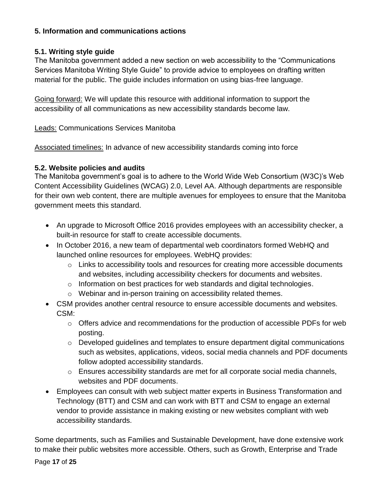## **5. Information and communications actions**

## **5.1. Writing style guide**

The Manitoba government added a new section on web accessibility to the "Communications Services Manitoba Writing Style Guide" to provide advice to employees on drafting written material for the public. The guide includes information on using bias-free language.

Going forward: We will update this resource with additional information to support the accessibility of all communications as new accessibility standards become law.

Leads: Communications Services Manitoba

Associated timelines: In advance of new accessibility standards coming into force

## **5.2. Website policies and audits**

The Manitoba government's goal is to adhere to the World Wide Web Consortium (W3C)'s Web Content Accessibility Guidelines (WCAG) 2.0, Level AA. Although departments are responsible for their own web content, there are multiple avenues for employees to ensure that the Manitoba government meets this standard.

- An upgrade to Microsoft Office 2016 provides employees with an accessibility checker, a built-in resource for staff to create accessible documents.
- In October 2016, a new team of departmental web coordinators formed WebHQ and launched online resources for employees. WebHQ provides:
	- o Links to accessibility tools and resources for creating more accessible documents and websites, including accessibility checkers for documents and websites.
	- o Information on best practices for web standards and digital technologies.
	- o Webinar and in-person training on accessibility related themes.
- CSM provides another central resource to ensure accessible documents and websites. CSM:
	- $\circ$  Offers advice and recommendations for the production of accessible PDFs for web posting.
	- o Developed guidelines and templates to ensure department digital communications such as websites, applications, videos, social media channels and PDF documents follow adopted accessibility standards.
	- o Ensures accessibility standards are met for all corporate social media channels, websites and PDF documents.
- Employees can consult with web subject matter experts in Business Transformation and Technology (BTT) and CSM and can work with BTT and CSM to engage an external vendor to provide assistance in making existing or new websites compliant with web accessibility standards.

Some departments, such as Families and Sustainable Development, have done extensive work to make their public websites more accessible. Others, such as Growth, Enterprise and Trade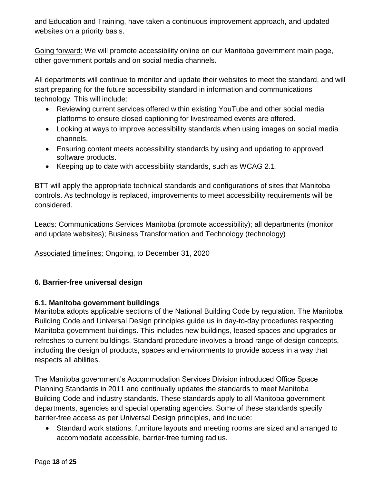and Education and Training, have taken a continuous improvement approach, and updated websites on a priority basis.

Going forward: We will promote accessibility online on our Manitoba government main page, other government portals and on social media channels.

All departments will continue to monitor and update their websites to meet the standard, and will start preparing for the future accessibility standard in information and communications technology. This will include:

- Reviewing current services offered within existing YouTube and other social media platforms to ensure closed captioning for livestreamed events are offered.
- Looking at ways to improve accessibility standards when using images on social media channels.
- Ensuring content meets accessibility standards by using and updating to approved software products.
- Keeping up to date with accessibility standards, such as WCAG 2.1.

BTT will apply the appropriate technical standards and configurations of sites that Manitoba controls. As technology is replaced, improvements to meet accessibility requirements will be considered.

Leads: Communications Services Manitoba (promote accessibility); all departments (monitor and update websites); Business Transformation and Technology (technology)

Associated timelines: Ongoing, to December 31, 2020

# **6. Barrier-free universal design**

## **6.1. Manitoba government buildings**

Manitoba adopts applicable sections of the National Building Code by regulation. The Manitoba Building Code and Universal Design principles guide us in day-to-day procedures respecting Manitoba government buildings. This includes new buildings, leased spaces and upgrades or refreshes to current buildings. Standard procedure involves a broad range of design concepts, including the design of products, spaces and environments to provide access in a way that respects all abilities.

The Manitoba government's Accommodation Services Division introduced Office Space Planning Standards in 2011 and continually updates the standards to meet Manitoba Building Code and industry standards. These standards apply to all Manitoba government departments, agencies and special operating agencies. Some of these standards specify barrier-free access as per Universal Design principles, and include:

 Standard work stations, furniture layouts and meeting rooms are sized and arranged to accommodate accessible, barrier-free turning radius.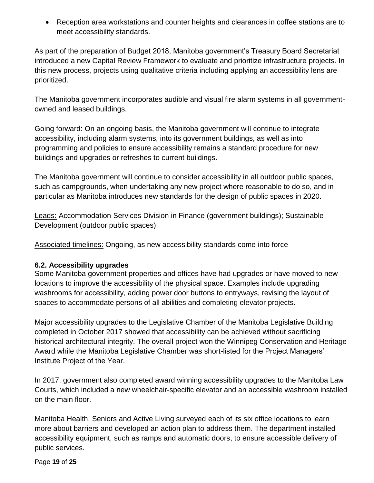Reception area workstations and counter heights and clearances in coffee stations are to meet accessibility standards.

As part of the preparation of Budget 2018, Manitoba government's Treasury Board Secretariat introduced a new Capital Review Framework to evaluate and prioritize infrastructure projects. In this new process, projects using qualitative criteria including applying an accessibility lens are prioritized.

The Manitoba government incorporates audible and visual fire alarm systems in all governmentowned and leased buildings.

Going forward: On an ongoing basis, the Manitoba government will continue to integrate accessibility, including alarm systems, into its government buildings, as well as into programming and policies to ensure accessibility remains a standard procedure for new buildings and upgrades or refreshes to current buildings.

The Manitoba government will continue to consider accessibility in all outdoor public spaces, such as campgrounds, when undertaking any new project where reasonable to do so, and in particular as Manitoba introduces new standards for the design of public spaces in 2020.

Leads: Accommodation Services Division in Finance (government buildings); Sustainable Development (outdoor public spaces)

Associated timelines: Ongoing, as new accessibility standards come into force

## **6.2. Accessibility upgrades**

Some Manitoba government properties and offices have had upgrades or have moved to new locations to improve the accessibility of the physical space. Examples include upgrading washrooms for accessibility, adding power door buttons to entryways, revising the layout of spaces to accommodate persons of all abilities and completing elevator projects.

Major accessibility upgrades to the Legislative Chamber of the Manitoba Legislative Building completed in October 2017 showed that accessibility can be achieved without sacrificing historical architectural integrity. The overall project won the Winnipeg Conservation and Heritage Award while the Manitoba Legislative Chamber was short-listed for the Project Managers' Institute Project of the Year.

In 2017, government also completed award winning accessibility upgrades to the Manitoba Law Courts, which included a new wheelchair-specific elevator and an accessible washroom installed on the main floor.

Manitoba Health, Seniors and Active Living surveyed each of its six office locations to learn more about barriers and developed an action plan to address them. The department installed accessibility equipment, such as ramps and automatic doors, to ensure accessible delivery of public services.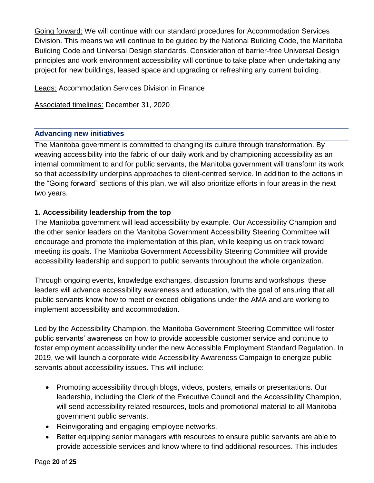Going forward: We will continue with our standard procedures for Accommodation Services Division. This means we will continue to be guided by the National Building Code, the Manitoba Building Code and Universal Design standards. Consideration of barrier-free Universal Design principles and work environment accessibility will continue to take place when undertaking any project for new buildings, leased space and upgrading or refreshing any current building.

Leads: Accommodation Services Division in Finance

Associated timelines: December 31, 2020

#### **Advancing new initiatives**

The Manitoba government is committed to changing its culture through transformation. By weaving accessibility into the fabric of our daily work and by championing accessibility as an internal commitment to and for public servants, the Manitoba government will transform its work so that accessibility underpins approaches to client-centred service. In addition to the actions in the "Going forward" sections of this plan, we will also prioritize efforts in four areas in the next two years.

## **1. Accessibility leadership from the top**

The Manitoba government will lead accessibility by example. Our Accessibility Champion and the other senior leaders on the Manitoba Government Accessibility Steering Committee will encourage and promote the implementation of this plan, while keeping us on track toward meeting its goals. The Manitoba Government Accessibility Steering Committee will provide accessibility leadership and support to public servants throughout the whole organization.

Through ongoing events, knowledge exchanges, discussion forums and workshops, these leaders will advance accessibility awareness and education, with the goal of ensuring that all public servants know how to meet or exceed obligations under the AMA and are working to implement accessibility and accommodation.

Led by the Accessibility Champion, the Manitoba Government Steering Committee will foster public servants' awareness on how to provide accessible customer service and continue to foster employment accessibility under the new Accessible Employment Standard Regulation. In 2019, we will launch a corporate-wide Accessibility Awareness Campaign to energize public servants about accessibility issues. This will include:

- Promoting accessibility through blogs, videos, posters, emails or presentations. Our leadership, including the Clerk of the Executive Council and the Accessibility Champion, will send accessibility related resources, tools and promotional material to all Manitoba government public servants.
- Reinvigorating and engaging employee networks.
- Better equipping senior managers with resources to ensure public servants are able to provide accessible services and know where to find additional resources. This includes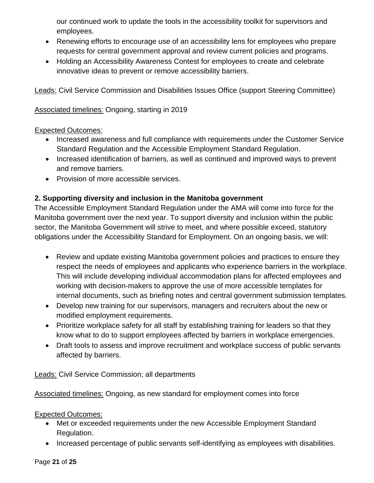our continued work to update the tools in the accessibility toolkit for supervisors and employees.

- Renewing efforts to encourage use of an accessibility lens for employees who prepare requests for central government approval and review current policies and programs.
- Holding an Accessibility Awareness Contest for employees to create and celebrate innovative ideas to prevent or remove accessibility barriers.

Leads: Civil Service Commission and Disabilities Issues Office (support Steering Committee)

## Associated timelines: Ongoing, starting in 2019

## Expected Outcomes:

- Increased awareness and full compliance with requirements under the Customer Service Standard Regulation and the Accessible Employment Standard Regulation.
- Increased identification of barriers, as well as continued and improved ways to prevent and remove barriers.
- Provision of more accessible services.

# **2. Supporting diversity and inclusion in the Manitoba government**

The Accessible Employment Standard Regulation under the AMA will come into force for the Manitoba government over the next year. To support diversity and inclusion within the public sector, the Manitoba Government will strive to meet, and where possible exceed, statutory obligations under the Accessibility Standard for Employment. On an ongoing basis, we will:

- Review and update existing Manitoba government policies and practices to ensure they respect the needs of employees and applicants who experience barriers in the workplace. This will include developing individual accommodation plans for affected employees and working with decision-makers to approve the use of more accessible templates for internal documents, such as briefing notes and central government submission templates.
- Develop new training for our supervisors, managers and recruiters about the new or modified employment requirements.
- Prioritize workplace safety for all staff by establishing training for leaders so that they know what to do to support employees affected by barriers in workplace emergencies.
- Draft tools to assess and improve recruitment and workplace success of public servants affected by barriers.

Leads: Civil Service Commission; all departments

Associated timelines: Ongoing, as new standard for employment comes into force

# Expected Outcomes:

- Met or exceeded requirements under the new Accessible Employment Standard Regulation.
- Increased percentage of public servants self-identifying as employees with disabilities.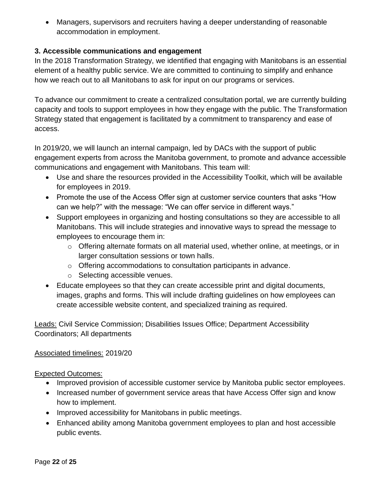Managers, supervisors and recruiters having a deeper understanding of reasonable accommodation in employment.

## **3. Accessible communications and engagement**

In the 2018 Transformation Strategy, we identified that engaging with Manitobans is an essential element of a healthy public service. We are committed to continuing to simplify and enhance how we reach out to all Manitobans to ask for input on our programs or services.

To advance our commitment to create a centralized consultation portal, we are currently building capacity and tools to support employees in how they engage with the public. The Transformation Strategy stated that engagement is facilitated by a commitment to transparency and ease of access.

In 2019/20, we will launch an internal campaign, led by DACs with the support of public engagement experts from across the Manitoba government, to promote and advance accessible communications and engagement with Manitobans. This team will:

- Use and share the resources provided in the Accessibility Toolkit, which will be available for employees in 2019.
- Promote the use of the Access Offer sign at customer service counters that asks "How can we help?" with the message: "We can offer service in different ways."
- Support employees in organizing and hosting consultations so they are accessible to all Manitobans. This will include strategies and innovative ways to spread the message to employees to encourage them in:
	- $\circ$  Offering alternate formats on all material used, whether online, at meetings, or in larger consultation sessions or town halls.
	- o Offering accommodations to consultation participants in advance.
	- o Selecting accessible venues.
- Educate employees so that they can create accessible print and digital documents, images, graphs and forms. This will include drafting guidelines on how employees can create accessible website content, and specialized training as required.

**Leads: Civil Service Commission; Disabilities Issues Office; Department Accessibility** Coordinators; All departments

## Associated timelines: 2019/20

#### Expected Outcomes:

- Improved provision of accessible customer service by Manitoba public sector employees.
- Increased number of government service areas that have Access Offer sign and know how to implement.
- Improved accessibility for Manitobans in public meetings.
- Enhanced ability among Manitoba government employees to plan and host accessible public events.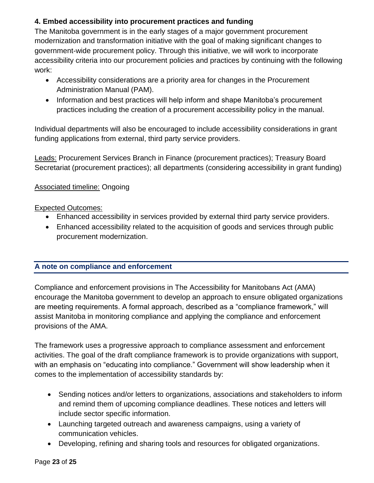# **4. Embed accessibility into procurement practices and funding**

The Manitoba government is in the early stages of a major government procurement modernization and transformation initiative with the goal of making significant changes to government-wide procurement policy. Through this initiative, we will work to incorporate accessibility criteria into our procurement policies and practices by continuing with the following work:

- Accessibility considerations are a priority area for changes in the Procurement Administration Manual (PAM).
- Information and best practices will help inform and shape Manitoba's procurement practices including the creation of a procurement accessibility policy in the manual.

Individual departments will also be encouraged to include accessibility considerations in grant funding applications from external, third party service providers.

Leads: Procurement Services Branch in Finance (procurement practices); Treasury Board Secretariat (procurement practices); all departments (considering accessibility in grant funding)

## Associated timeline: Ongoing

## Expected Outcomes:

- Enhanced accessibility in services provided by external third party service providers.
- Enhanced accessibility related to the acquisition of goods and services through public procurement modernization.

## **A note on compliance and enforcement**

Compliance and enforcement provisions in The Accessibility for Manitobans Act (AMA) encourage the Manitoba government to develop an approach to ensure obligated organizations are meeting requirements. A formal approach, described as a "compliance framework," will assist Manitoba in monitoring compliance and applying the compliance and enforcement provisions of the AMA.

The framework uses a progressive approach to compliance assessment and enforcement activities. The goal of the draft compliance framework is to provide organizations with support, with an emphasis on "educating into compliance." Government will show leadership when it comes to the implementation of accessibility standards by:

- Sending notices and/or letters to organizations, associations and stakeholders to inform and remind them of upcoming compliance deadlines. These notices and letters will include sector specific information.
- Launching targeted outreach and awareness campaigns, using a variety of communication vehicles.
- Developing, refining and sharing tools and resources for obligated organizations.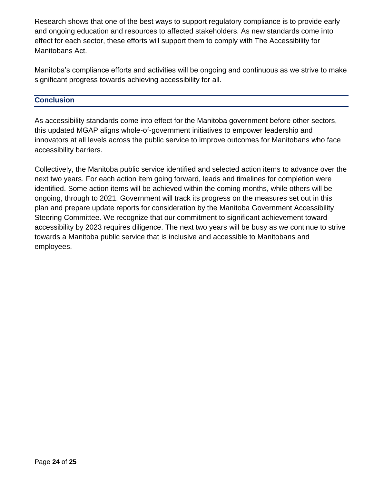Research shows that one of the best ways to support regulatory compliance is to provide early and ongoing education and resources to affected stakeholders. As new standards come into effect for each sector, these efforts will support them to comply with The Accessibility for Manitobans Act.

Manitoba's compliance efforts and activities will be ongoing and continuous as we strive to make significant progress towards achieving accessibility for all.

#### **Conclusion**

As accessibility standards come into effect for the Manitoba government before other sectors, this updated MGAP aligns whole-of-government initiatives to empower leadership and innovators at all levels across the public service to improve outcomes for Manitobans who face accessibility barriers.

Collectively, the Manitoba public service identified and selected action items to advance over the next two years. For each action item going forward, leads and timelines for completion were identified. Some action items will be achieved within the coming months, while others will be ongoing, through to 2021. Government will track its progress on the measures set out in this plan and prepare update reports for consideration by the Manitoba Government Accessibility Steering Committee. We recognize that our commitment to significant achievement toward accessibility by 2023 requires diligence. The next two years will be busy as we continue to strive towards a Manitoba public service that is inclusive and accessible to Manitobans and employees.